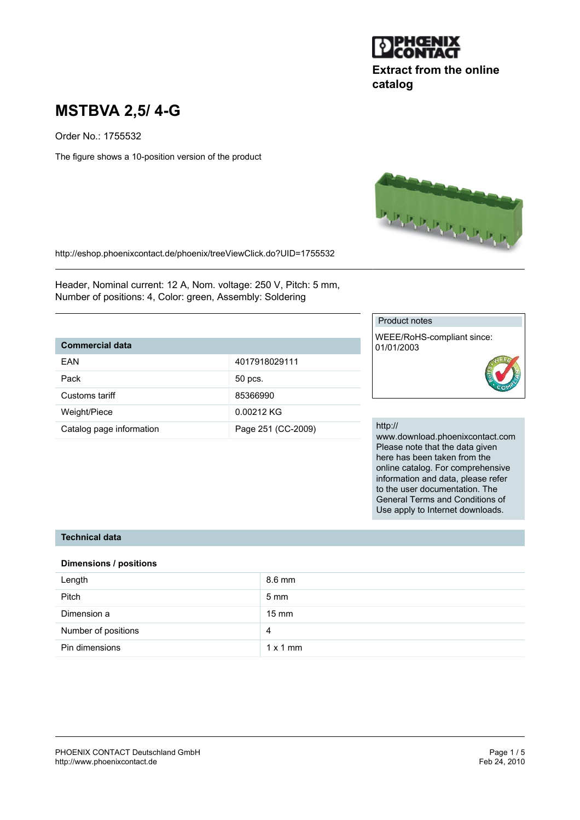

# **Extract from the online catalog**

# **MSTBVA 2,5/ 4-G**

Order No.: 1755532

The figure shows a 10-position version of the product



http://eshop.phoenixcontact.de/phoenix/treeViewClick.do?UID=1755532

Header, Nominal current: 12 A, Nom. voltage: 250 V, Pitch: 5 mm, Number of positions: 4, Color: green, Assembly: Soldering

## **Commercial data**

| FAN                      | 4017918029111      |
|--------------------------|--------------------|
| Pack                     | 50 pcs.            |
| Customs tariff           | 85366990           |
| Weight/Piece             | 0.00212 KG         |
| Catalog page information | Page 251 (CC-2009) |

#### Product notes

WEEE/RoHS-compliant since: 01/01/2003

#### http://

www.download.phoenixcontact.com Please note that the data given here has been taken from the online catalog. For comprehensive information and data, please refer to the user documentation. The General Terms and Conditions of Use apply to Internet downloads.

## **Technical data**

#### **Dimensions / positions**

| Length              | 8.6 mm          |
|---------------------|-----------------|
| Pitch               | $5 \text{ mm}$  |
| Dimension a         | $15 \text{ mm}$ |
| Number of positions | 4               |
| Pin dimensions      | $1 \times 1$ mm |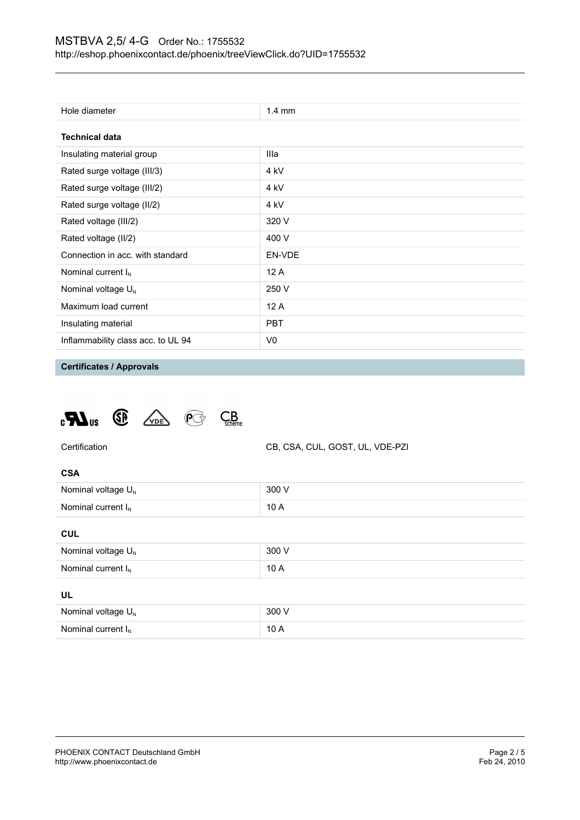| Hole diameter                      | $1.4 \text{ mm}$ |  |
|------------------------------------|------------------|--|
| <b>Technical data</b>              |                  |  |
| Insulating material group          | Illa             |  |
| Rated surge voltage (III/3)        | 4 kV             |  |
| Rated surge voltage (III/2)        | 4 kV             |  |
| Rated surge voltage (II/2)         | 4 kV             |  |
| Rated voltage (III/2)              | 320 V            |  |
| Rated voltage (II/2)               | 400 V            |  |
| Connection in acc. with standard   | EN-VDE           |  |
| Nominal current $I_N$              | 12A              |  |
| Nominal voltage $U_{N}$            | 250 V            |  |
| Maximum load current               | 12A              |  |
| Insulating material                | <b>PBT</b>       |  |
| Inflammability class acc. to UL 94 | V0               |  |

# **Certificates / Approvals**





**CSA** Nominal voltage  $U_N$  300 V Nominal current  $I_N$  10 A

#### **CUL**

| Nominal voltage $U_N$ | 300 V |  |
|-----------------------|-------|--|
|                       |       |  |
| Nominal current $I_N$ | 10A   |  |
|                       |       |  |
|                       |       |  |
| UL                    |       |  |
| Nominal voltage $U_N$ | 300 V |  |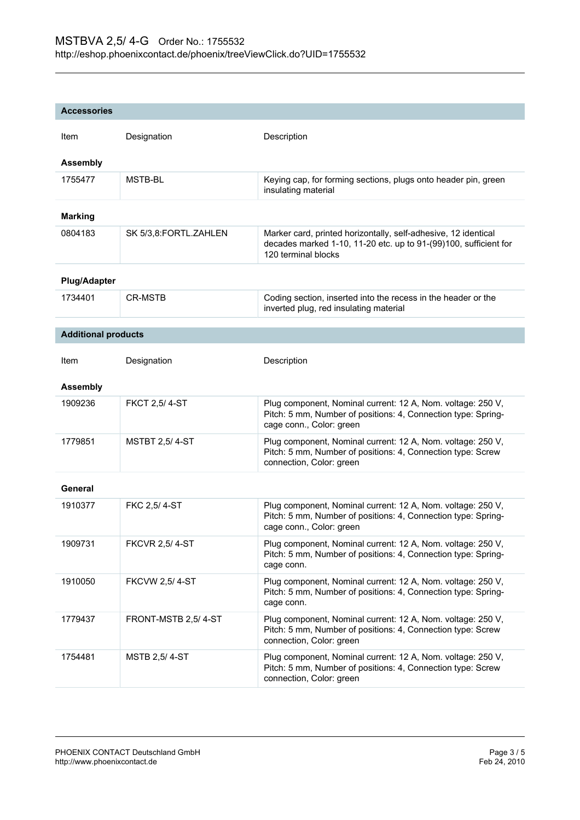| <b>Accessories</b>         |                       |                                                                                                                                                           |
|----------------------------|-----------------------|-----------------------------------------------------------------------------------------------------------------------------------------------------------|
| Item                       | Designation           | Description                                                                                                                                               |
| <b>Assembly</b>            |                       |                                                                                                                                                           |
| 1755477                    | MSTB-BL               | Keying cap, for forming sections, plugs onto header pin, green<br>insulating material                                                                     |
| <b>Marking</b>             |                       |                                                                                                                                                           |
| 0804183                    | SK 5/3,8:FORTL.ZAHLEN | Marker card, printed horizontally, self-adhesive, 12 identical<br>decades marked 1-10, 11-20 etc. up to 91-(99)100, sufficient for<br>120 terminal blocks |
| <b>Plug/Adapter</b>        |                       |                                                                                                                                                           |
| 1734401                    | <b>CR-MSTB</b>        | Coding section, inserted into the recess in the header or the<br>inverted plug, red insulating material                                                   |
| <b>Additional products</b> |                       |                                                                                                                                                           |
| Item                       | Designation           | Description                                                                                                                                               |
|                            |                       |                                                                                                                                                           |
| <b>Assembly</b>            |                       |                                                                                                                                                           |
| 1909236                    | <b>FKCT 2,5/4-ST</b>  | Plug component, Nominal current: 12 A, Nom. voltage: 250 V,<br>Pitch: 5 mm, Number of positions: 4, Connection type: Spring-<br>cage conn., Color: green  |
| 1779851                    | <b>MSTBT 2,5/4-ST</b> | Plug component, Nominal current: 12 A, Nom. voltage: 250 V,<br>Pitch: 5 mm, Number of positions: 4, Connection type: Screw<br>connection, Color: green    |
| General                    |                       |                                                                                                                                                           |
| 1910377                    | FKC 2,5/4-ST          | Plug component, Nominal current: 12 A, Nom. voltage: 250 V,<br>Pitch: 5 mm, Number of positions: 4, Connection type: Spring-<br>cage conn., Color: green  |
| 1909731                    | <b>FKCVR 2,5/4-ST</b> | Plug component, Nominal current: 12 A, Nom. voltage: 250 V,<br>Pitch: 5 mm, Number of positions: 4, Connection type: Spring-<br>cage conn.                |
| 1910050                    | <b>FKCVW 2,5/4-ST</b> | Plug component, Nominal current: 12 A, Nom. voltage: 250 V,<br>Pitch: 5 mm, Number of positions: 4, Connection type: Spring-<br>cage conn.                |
| 1779437                    | FRONT-MSTB 2,5/4-ST   | Plug component, Nominal current: 12 A, Nom. voltage: 250 V,<br>Pitch: 5 mm, Number of positions: 4, Connection type: Screw<br>connection, Color: green    |
| 1754481                    | <b>MSTB 2,5/4-ST</b>  | Plug component, Nominal current: 12 A, Nom. voltage: 250 V,<br>Pitch: 5 mm, Number of positions: 4, Connection type: Screw<br>connection, Color: green    |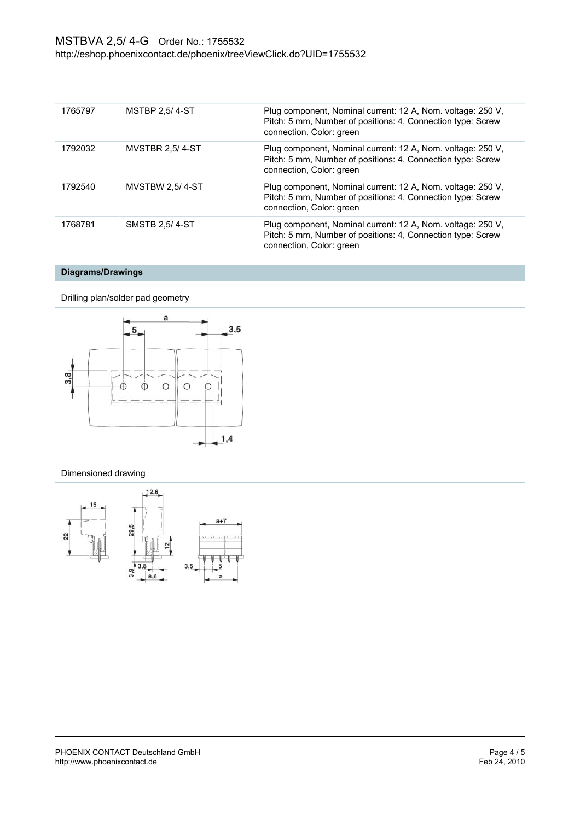| 1765797 | <b>MSTBP 2.5/4-ST</b>  | Plug component, Nominal current: 12 A, Nom. voltage: 250 V,<br>Pitch: 5 mm, Number of positions: 4, Connection type: Screw<br>connection, Color: green |
|---------|------------------------|--------------------------------------------------------------------------------------------------------------------------------------------------------|
| 1792032 | <b>MVSTBR 2.5/4-ST</b> | Plug component, Nominal current: 12 A, Nom. voltage: 250 V,<br>Pitch: 5 mm, Number of positions: 4, Connection type: Screw<br>connection, Color: green |
| 1792540 | <b>MVSTBW 2.5/4-ST</b> | Plug component, Nominal current: 12 A, Nom. voltage: 250 V,<br>Pitch: 5 mm, Number of positions: 4, Connection type: Screw<br>connection, Color: green |
| 1768781 | SMSTB 2.5/4-ST         | Plug component, Nominal current: 12 A, Nom. voltage: 250 V,<br>Pitch: 5 mm, Number of positions: 4, Connection type: Screw<br>connection, Color: green |

# **Diagrams/Drawings**

Drilling plan/solder pad geometry



#### Dimensioned drawing